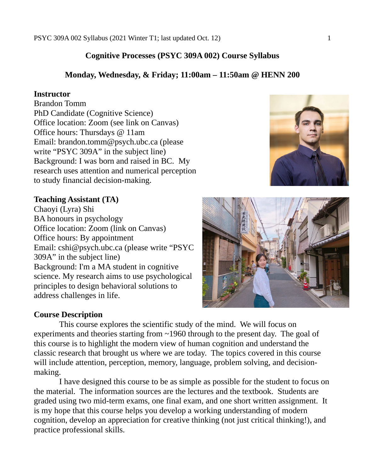# **Cognitive Processes (PSYC 309A 002) Course Syllabus**

# **Monday, Wednesday, & Friday; 11:00am – 11:50am @ HENN 200**

### **Instructor**

Brandon Tomm PhD Candidate (Cognitive Science) Office location: Zoom (see link on Canvas) Office hours: Thursdays @ 11am Email: brandon.tomm@psych.ubc.ca (please write "PSYC 309A" in the subject line) Background: I was born and raised in BC. My research uses attention and numerical perception to study financial decision-making.

# **Teaching Assistant (TA)**

Chaoyi (Lyra) Shi BA honours in psychology Office location: Zoom (link on Canvas) Office hours: By appointment Email: cshi@psych.ubc.ca (please write "PSYC 309A" in the subject line) Background: I'm a MA student in cognitive science. My research aims to use psychological principles to design behavioral solutions to address challenges in life.

# **Course Description**

This course explores the scientific study of the mind. We will focus on experiments and theories starting from ~1960 through to the present day. The goal of this course is to highlight the modern view of human cognition and understand the classic research that brought us where we are today. The topics covered in this course will include attention, perception, memory, language, problem solving, and decisionmaking.

I have designed this course to be as simple as possible for the student to focus on the material. The information sources are the lectures and the textbook. Students are graded using two mid-term exams, one final exam, and one short written assignment. It is my hope that this course helps you develop a working understanding of modern cognition, develop an appreciation for creative thinking (not just critical thinking!), and practice professional skills.



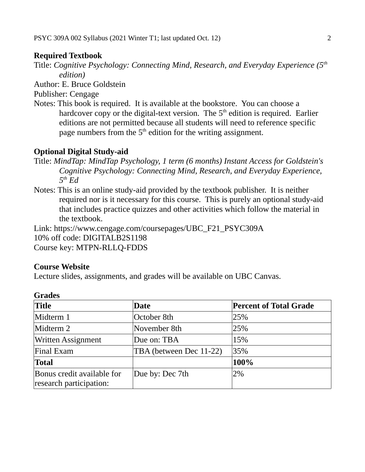# **Required Textbook**

Title: *Cognitive Psychology: Connecting Mind, Research, and Everyday Experience (5th edition)*

Author: E. Bruce Goldstein

Publisher: Cengage

Notes: This book is required. It is available at the bookstore. You can choose a hardcover copy or the digital-text version. The  $5<sup>th</sup>$  edition is required. Earlier editions are not permitted because all students will need to reference specific page numbers from the  $5<sup>th</sup>$  edition for the writing assignment.

# **Optional Digital Study-aid**

- Title: *MindTap: MindTap Psychology, 1 term (6 months) Instant Access for Goldstein's Cognitive Psychology: Connecting Mind, Research, and Everyday Experience, 5 th Ed*
- Notes: This is an online study-aid provided by the textbook publisher. It is neither required nor is it necessary for this course. This is purely an optional study-aid that includes practice quizzes and other activities which follow the material in the textbook.

Link: https://www.cengage.com/coursepages/UBC\_F21\_PSYC309A 10% off code: DIGITALB2S1198 Course key: MTPN-RLLQ-FDDS

# **Course Website**

Lecture slides, assignments, and grades will be available on UBC Canvas.

| <b>Title</b>                                          | <b>Date</b>             | <b>Percent of Total Grade</b> |  |  |
|-------------------------------------------------------|-------------------------|-------------------------------|--|--|
| Midterm 1                                             | October 8th             | 25%                           |  |  |
| Midterm 2                                             | November 8th            | 25%                           |  |  |
| <b>Written Assignment</b>                             | Due on: TBA             | 15%                           |  |  |
| Final Exam                                            | TBA (between Dec 11-22) | 35%                           |  |  |
| <b>Total</b>                                          |                         | 100%                          |  |  |
| Bonus credit available for<br>research participation: | Due by: Dec 7th         | 2%                            |  |  |

# **Grades**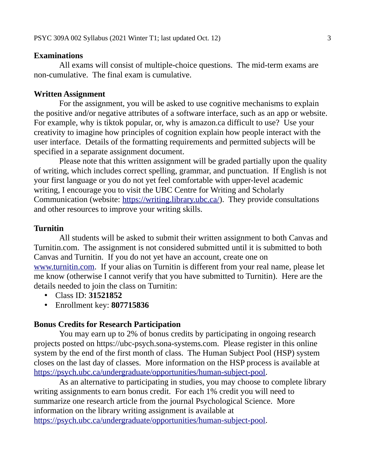#### **Examinations**

All exams will consist of multiple-choice questions. The mid-term exams are non-cumulative. The final exam is cumulative.

## **Written Assignment**

For the assignment, you will be asked to use cognitive mechanisms to explain the positive and/or negative attributes of a software interface, such as an app or website. For example, why is tiktok popular, or, why is amazon.ca difficult to use? Use your creativity to imagine how principles of cognition explain how people interact with the user interface. Details of the formatting requirements and permitted subjects will be specified in a separate assignment document.

Please note that this written assignment will be graded partially upon the quality of writing, which includes correct spelling, grammar, and punctuation. If English is not your first language or you do not yet feel comfortable with upper-level academic writing, I encourage you to visit the UBC Centre for Writing and Scholarly Communication (website:<https://writing.library.ubc.ca/>). They provide consultations and other resources to improve your writing skills.

## **Turnitin**

All students will be asked to submit their written assignment to both Canvas and Turnitin.com. The assignment is not considered submitted until it is submitted to both Canvas and Turnitin. If you do not yet have an account, create one on [www.turnitin.com.](http://www.turnitin.com/) If your alias on Turnitin is different from your real name, please let me know (otherwise I cannot verify that you have submitted to Turnitin). Here are the details needed to join the class on Turnitin:

- Class ID: **31521852**
- Enrollment key: **807715836**

### **Bonus Credits for Research Participation**

You may earn up to 2% of bonus credits by participating in ongoing research projects posted on https://ubc-psych.sona-systems.com. Please register in this online system by the end of the first month of class. The Human Subject Pool (HSP) system closes on the last day of classes. More information on the HSP process is available at <https://psych.ubc.ca/undergraduate/opportunities/human-subject-pool>.

As an alternative to participating in studies, you may choose to complete library writing assignments to earn bonus credit. For each 1% credit you will need to summarize one research article from the journal Psychological Science. More information on the library writing assignment is available at <https://psych.ubc.ca/undergraduate/opportunities/human-subject-pool>.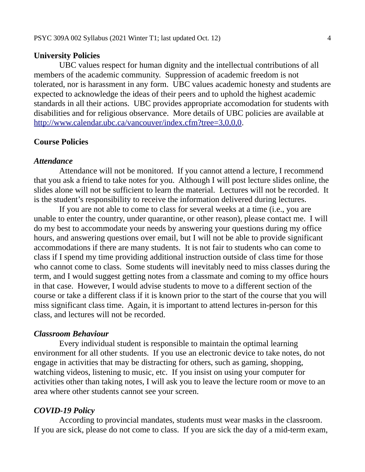#### **University Policies**

UBC values respect for human dignity and the intellectual contributions of all members of the academic community. Suppression of academic freedom is not tolerated, nor is harassment in any form. UBC values academic honesty and students are expected to acknowledge the ideas of their peers and to uphold the highest academic standards in all their actions. UBC provides appropriate accomodation for students with disabilities and for religious observance. More details of UBC policies are available at [http://www.calendar.ubc.ca/vancouver/index.cfm?tree=3,0,0,0.](http://www.calendar.ubc.ca/vancouver/index.cfm?tree=3,0,0,0)

### **Course Policies**

#### *Attendance*

Attendance will not be monitored. If you cannot attend a lecture, I recommend that you ask a friend to take notes for you. Although I will post lecture slides online, the slides alone will not be sufficient to learn the material. Lectures will not be recorded. It is the student's responsibility to receive the information delivered during lectures.

If you are not able to come to class for several weeks at a time (i.e., you are unable to enter the country, under quarantine, or other reason), please contact me. I will do my best to accommodate your needs by answering your questions during my office hours, and answering questions over email, but I will not be able to provide significant accommodations if there are many students. It is not fair to students who can come to class if I spend my time providing additional instruction outside of class time for those who cannot come to class. Some students will inevitably need to miss classes during the term, and I would suggest getting notes from a classmate and coming to my office hours in that case. However, I would advise students to move to a different section of the course or take a different class if it is known prior to the start of the course that you will miss significant class time. Again, it is important to attend lectures in-person for this class, and lectures will not be recorded.

#### *Classroom Behaviour*

Every individual student is responsible to maintain the optimal learning environment for all other students. If you use an electronic device to take notes, do not engage in activities that may be distracting for others, such as gaming, shopping, watching videos, listening to music, etc. If you insist on using your computer for activities other than taking notes, I will ask you to leave the lecture room or move to an area where other students cannot see your screen.

#### *COVID-19 Policy*

According to provincial mandates, students must wear masks in the classroom. If you are sick, please do not come to class. If you are sick the day of a mid-term exam,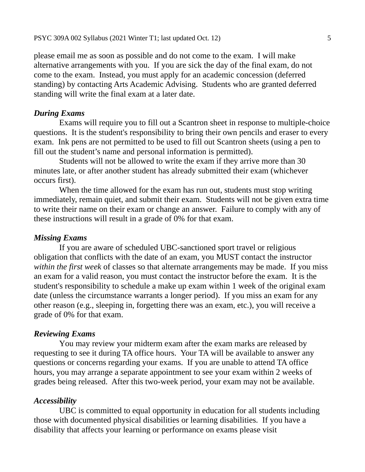please email me as soon as possible and do not come to the exam. I will make alternative arrangements with you. If you are sick the day of the final exam, do not come to the exam. Instead, you must apply for an academic concession (deferred standing) by contacting Arts Academic Advising. Students who are granted deferred standing will write the final exam at a later date.

## *During Exams*

Exams will require you to fill out a Scantron sheet in response to multiple-choice questions. It is the student's responsibility to bring their own pencils and eraser to every exam. Ink pens are not permitted to be used to fill out Scantron sheets (using a pen to fill out the student's name and personal information is permitted).

Students will not be allowed to write the exam if they arrive more than 30 minutes late, or after another student has already submitted their exam (whichever occurs first).

When the time allowed for the exam has run out, students must stop writing immediately, remain quiet, and submit their exam. Students will not be given extra time to write their name on their exam or change an answer. Failure to comply with any of these instructions will result in a grade of 0% for that exam.

#### *Missing Exams*

If you are aware of scheduled UBC-sanctioned sport travel or religious obligation that conflicts with the date of an exam, you MUST contact the instructor *within the first week* of classes so that alternate arrangements may be made. If you miss an exam for a valid reason, you must contact the instructor before the exam. It is the student's responsibility to schedule a make up exam within 1 week of the original exam date (unless the circumstance warrants a longer period). If you miss an exam for any other reason (e.g., sleeping in, forgetting there was an exam, etc.), you will receive a grade of 0% for that exam.

#### *Reviewing Exams*

You may review your midterm exam after the exam marks are released by requesting to see it during TA office hours. Your TA will be available to answer any questions or concerns regarding your exams. If you are unable to attend TA office hours, you may arrange a separate appointment to see your exam within 2 weeks of grades being released. After this two-week period, your exam may not be available.

## *Accessibility*

UBC is committed to equal opportunity in education for all students including those with documented physical disabilities or learning disabilities. If you have a disability that affects your learning or performance on exams please visit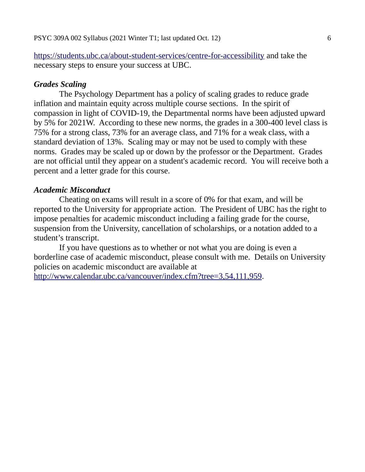<https://students.ubc.ca/about-student-services/centre-for-accessibility>and take the necessary steps to ensure your success at UBC.

### *Grades Scaling*

The Psychology Department has a policy of scaling grades to reduce grade inflation and maintain equity across multiple course sections. In the spirit of compassion in light of COVID-19, the Departmental norms have been adjusted upward by 5% for 2021W. According to these new norms, the grades in a 300-400 level class is 75% for a strong class, 73% for an average class, and 71% for a weak class, with a standard deviation of 13%. Scaling may or may not be used to comply with these norms. Grades may be scaled up or down by the professor or the Department. Grades are not official until they appear on a student's academic record. You will receive both a percent and a letter grade for this course.

#### *Academic Misconduct*

Cheating on exams will result in a score of 0% for that exam, and will be reported to the University for appropriate action. The President of UBC has the right to impose penalties for academic misconduct including a failing grade for the course, suspension from the University, cancellation of scholarships, or a notation added to a student's transcript.

If you have questions as to whether or not what you are doing is even a borderline case of academic misconduct, please consult with me. Details on University policies on academic misconduct are available at <http://www.calendar.ubc.ca/vancouver/index.cfm?tree=3,54,111,959>.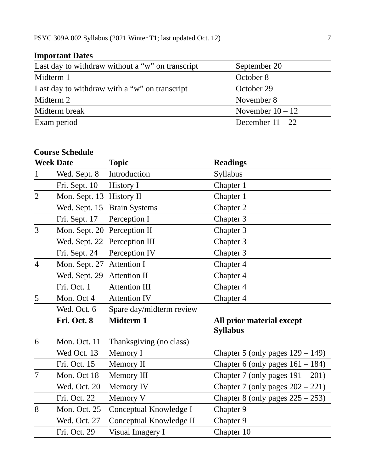| Last day to withdraw without a "w" on transcript  | September 20       |  |  |  |
|---------------------------------------------------|--------------------|--|--|--|
| Midterm 1                                         | October 8          |  |  |  |
| Last day to withdraw with a " $w$ " on transcript | October 29         |  |  |  |
| Midterm 2                                         | November 8         |  |  |  |
| Midterm break                                     | November $10 - 12$ |  |  |  |
| Exam period                                       | December $11 - 22$ |  |  |  |

# **Important Dates**

# **Course Schedule**

| <b>Week</b> Date |               | Topic                    | <b>Readings</b>                              |
|------------------|---------------|--------------------------|----------------------------------------------|
| $\vert$ 1        | Wed. Sept. 8  | Introduction             | Syllabus                                     |
|                  | Fri. Sept. 10 | History I                | Chapter 1                                    |
| $\overline{2}$   | Mon. Sept. 13 | <b>History II</b>        | Chapter 1                                    |
|                  | Wed. Sept. 15 | <b>Brain Systems</b>     | Chapter 2                                    |
|                  | Fri. Sept. 17 | Perception I             | Chapter 3                                    |
| 3                | Mon. Sept. 20 | Perception II            | Chapter 3                                    |
|                  | Wed. Sept. 22 | Perception III           | Chapter 3                                    |
|                  | Fri. Sept. 24 | Perception IV            | Chapter 3                                    |
| $\vert 4$        | Mon. Sept. 27 | <b>Attention I</b>       | Chapter 4                                    |
|                  | Wed. Sept. 29 | <b>Attention II</b>      | Chapter 4                                    |
|                  | Fri. Oct. 1   | <b>Attention III</b>     | Chapter 4                                    |
| 5                | Mon. Oct 4    | <b>Attention IV</b>      | Chapter 4                                    |
|                  | Wed. Oct. 6   | Spare day/midterm review |                                              |
|                  | Fri. Oct. 8   | <b>Midterm 1</b>         | All prior material except<br><b>Syllabus</b> |
| 6                | Mon. Oct. 11  | Thanksgiving (no class)  |                                              |
|                  | Wed Oct. 13   | Memory I                 | Chapter 5 (only pages $129 - 149$ )          |
|                  | Fri. Oct. 15  | Memory II                | Chapter 6 (only pages $161 - 184$ )          |
| 7                | Mon. Oct 18   | Memory III               | Chapter 7 (only pages $191 - 201$ )          |
|                  | Wed. Oct. 20  | Memory IV                | Chapter 7 (only pages $202 - 221$ )          |
|                  | Fri. Oct. 22  | Memory V                 | Chapter 8 (only pages $225 - 253$ )          |
| 8                | Mon. Oct. 25  | Conceptual Knowledge I   | Chapter 9                                    |
|                  | Wed. Oct. 27  | Conceptual Knowledge II  | Chapter 9                                    |
|                  | Fri. Oct. 29  | Visual Imagery I         | Chapter 10                                   |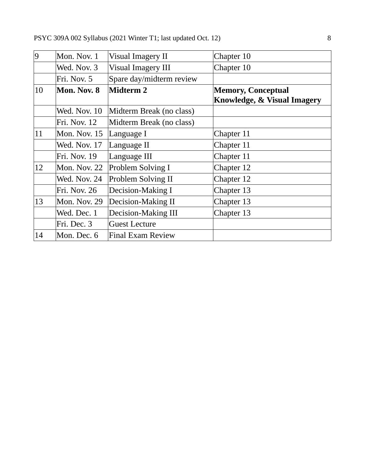| 9  | Mon. Nov. 1  | Visual Imagery II        | Chapter 10                                               |
|----|--------------|--------------------------|----------------------------------------------------------|
|    | Wed. Nov. 3  | Visual Imagery III       | Chapter 10                                               |
|    | Fri. Nov. 5  | Spare day/midterm review |                                                          |
| 10 | Mon. Nov. 8  | <b>Midterm 2</b>         | <b>Memory, Conceptual</b><br>Knowledge, & Visual Imagery |
|    | Wed. Nov. 10 | Midterm Break (no class) |                                                          |
|    | Fri. Nov. 12 | Midterm Break (no class) |                                                          |
| 11 | Mon. Nov. 15 | Language I               | Chapter 11                                               |
|    | Wed. Nov. 17 | Language II              | Chapter 11                                               |
|    | Fri. Nov. 19 | Language III             | Chapter 11                                               |
| 12 | Mon. Nov. 22 | Problem Solving I        | Chapter 12                                               |
|    | Wed. Nov. 24 | Problem Solving II       | Chapter 12                                               |
|    | Fri. Nov. 26 | Decision-Making I        | Chapter 13                                               |
| 13 | Mon. Nov. 29 | Decision-Making II       | Chapter 13                                               |
|    | Wed. Dec. 1  | Decision-Making III      | Chapter 13                                               |
|    | Fri. Dec. 3  | <b>Guest Lecture</b>     |                                                          |
| 14 | Mon. Dec. 6  | <b>Final Exam Review</b> |                                                          |